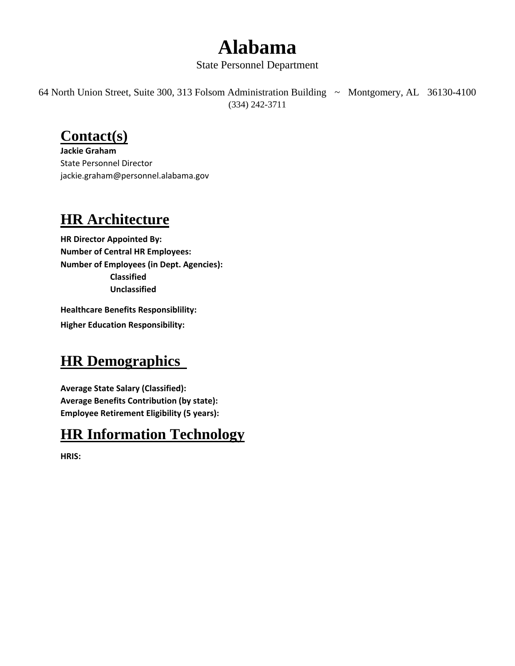## **Alabama**

#### State Personnel Department

64 North Union Street, Suite 300, 313 Folsom Administration Building ~ Montgomery, AL 36130-4100 (334) 242-3711

#### **Contact(s)**

**Jackie Graham** State Personnel Director jackie.graham@personnel.alabama.gov

#### **HR Architecture**

**HR Director Appointed By: Number of Central HR Employees: Number of Employees (in Dept. Agencies): Classified Unclassified**

**Healthcare Benefits Responsiblility: Higher Education Responsibility:**

#### **HR Demographics**

**Average State Salary (Classified): Average Benefits Contribution (by state): Employee Retirement Eligibility (5 years):**

#### **HR Information Technology**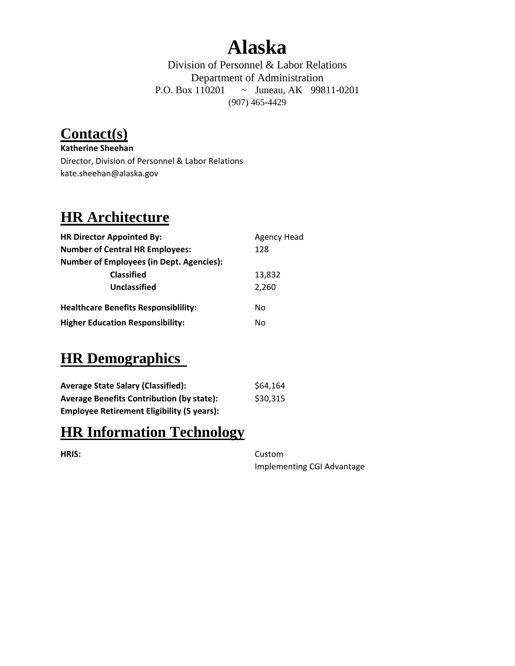## **Alaska**

Division of Personnel & Labor Relations Department of Administration P.O. Box 110201 ~ Juneau, AK 99811-0201 (907) 465-4429

### **Contact(s)**

**Katherine Sheehan** Director, Division of Personnel & Labor Relations kate.sheehan@alaska.gov

### **HR Architecture**

| <b>HR Director Appointed By:</b>                | <b>Agency Head</b> |
|-------------------------------------------------|--------------------|
| <b>Number of Central HR Employees:</b>          | 128                |
| <b>Number of Employees (in Dept. Agencies):</b> |                    |
| <b>Classified</b>                               | 13,832             |
| Unclassified                                    | 2,260              |
| <b>Healthcare Benefits Responsibility:</b>      | No                 |
| <b>Higher Education Responsibility:</b>         | No                 |

#### **HR Demographics**

| <b>Average State Salary (Classified):</b>         | \$64,164 |
|---------------------------------------------------|----------|
| <b>Average Benefits Contribution (by state):</b>  | \$30,315 |
| <b>Employee Retirement Eligibility (5 years):</b> |          |

#### **HR Information Technology**

**HRIS:** Custom Implementing CGI Advantage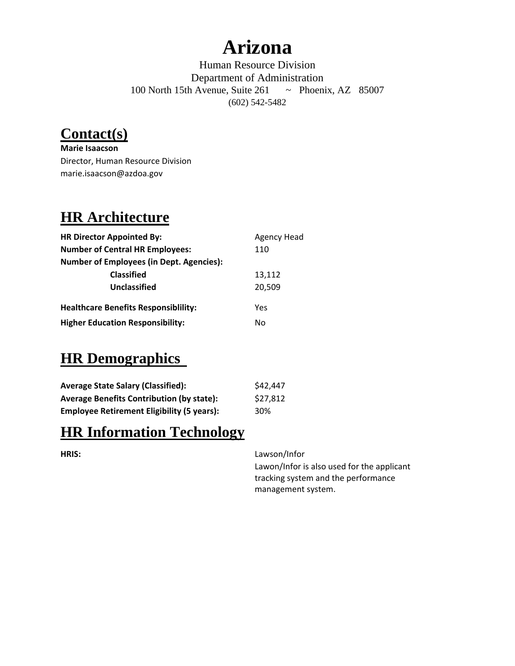## **Arizona**

Human Resource Division Department of Administration 100 North 15th Avenue, Suite 261 ~ Phoenix, AZ 85007 (602) 542-5482

#### **Contact(s)**

**Marie Isaacson** Director, Human Resource Division marie.isaacson@azdoa.gov

### **HR Architecture**

| <b>HR Director Appointed By:</b>                | <b>Agency Head</b> |
|-------------------------------------------------|--------------------|
| <b>Number of Central HR Employees:</b>          | 110                |
| <b>Number of Employees (in Dept. Agencies):</b> |                    |
| <b>Classified</b>                               | 13,112             |
| Unclassified                                    | 20,509             |
| <b>Healthcare Benefits Responsibility:</b>      | Yes                |
| <b>Higher Education Responsibility:</b>         | No                 |

#### **HR Demographics**

| <b>Average State Salary (Classified):</b>         | \$42,447 |
|---------------------------------------------------|----------|
| <b>Average Benefits Contribution (by state):</b>  | \$27,812 |
| <b>Employee Retirement Eligibility (5 years):</b> | 30%      |

#### **HR Information Technology**

**HRIS:** Lawson/Infor

Lawon/Infor is also used for the applicant tracking system and the performance management system.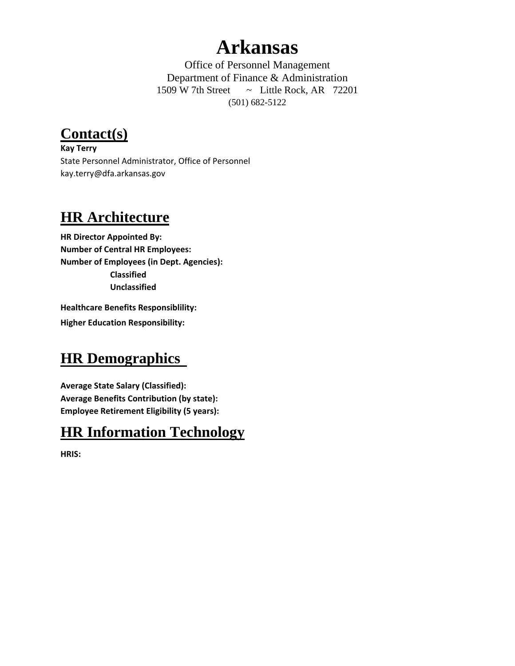## **Arkansas**

Office of Personnel Management Department of Finance & Administration 1509 W 7th Street  $\sim$  Little Rock, AR 72201 (501) 682-5122

**Contact(s)**

**Kay Terry** State Personnel Administrator, Office of Personnel kay.terry@dfa.arkansas.gov

#### **HR Architecture**

**HR Director Appointed By: Number of Central HR Employees: Number of Employees (in Dept. Agencies): Classified Unclassified**

**Healthcare Benefits Responsiblility: Higher Education Responsibility:**

#### **HR Demographics**

**Average State Salary (Classified): Average Benefits Contribution (by state): Employee Retirement Eligibility (5 years):**

#### **HR Information Technology**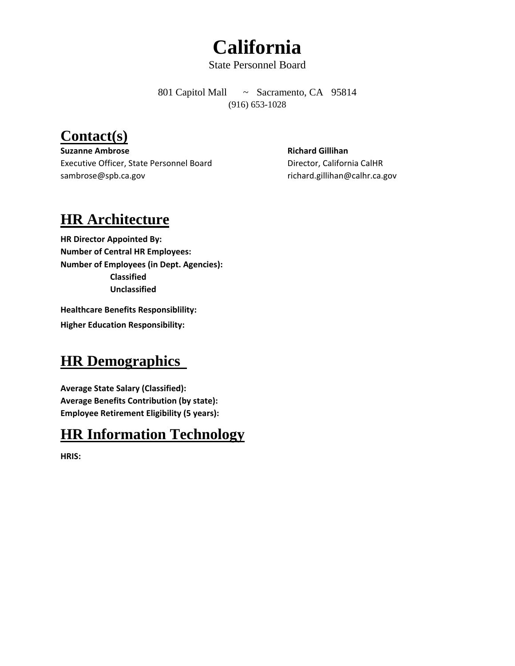# **California**

State Personnel Board

801 Capitol Mall ~ Sacramento, CA 95814 (916) 653-1028

#### **Contact(s)**

**Suzanne Ambrose Richard Gillihan** Executive Officer, State Personnel Board Director, California CalHR sambrose@spb.ca.gov by richard.gillihan@calhr.ca.gov

#### **HR Architecture**

**HR Director Appointed By: Number of Central HR Employees: Number of Employees (in Dept. Agencies): Classified Unclassified**

**Healthcare Benefits Responsiblility: Higher Education Responsibility:**

#### **HR Demographics**

**Average State Salary (Classified): Average Benefits Contribution (by state): Employee Retirement Eligibility (5 years):**

#### **HR Information Technology**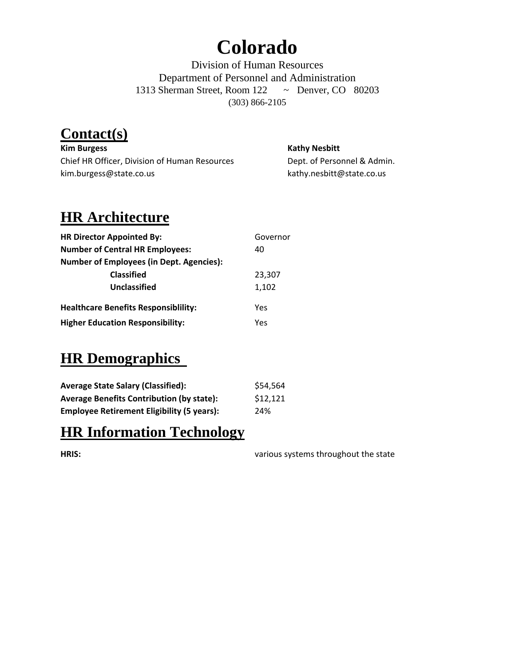## **Colorado**

Division of Human Resources Department of Personnel and Administration 1313 Sherman Street, Room 122 ~ Denver, CO 80203 (303) 866-2105

### **Contact(s)**

**Kim Burgess Kathy Nesbitt** Chief HR Officer, Division of Human Resources Dept. of Personnel & Admin. kim.burgess@state.co.us kathy.nesbitt@state.co.us

### **HR Architecture**

| <b>HR Director Appointed By:</b>                | Governor |
|-------------------------------------------------|----------|
| <b>Number of Central HR Employees:</b>          | 40       |
| <b>Number of Employees (in Dept. Agencies):</b> |          |
| <b>Classified</b>                               | 23,307   |
| Unclassified                                    | 1,102    |
| <b>Healthcare Benefits Responsibility:</b>      | Yes      |
| <b>Higher Education Responsibility:</b>         | Yes      |

#### **HR Demographics**

| <b>Average State Salary (Classified):</b>         | \$54,564 |
|---------------------------------------------------|----------|
| <b>Average Benefits Contribution (by state):</b>  | \$12,121 |
| <b>Employee Retirement Eligibility (5 years):</b> | 24%      |

#### **HR Information Technology**

**HRIS:** various systems throughout the state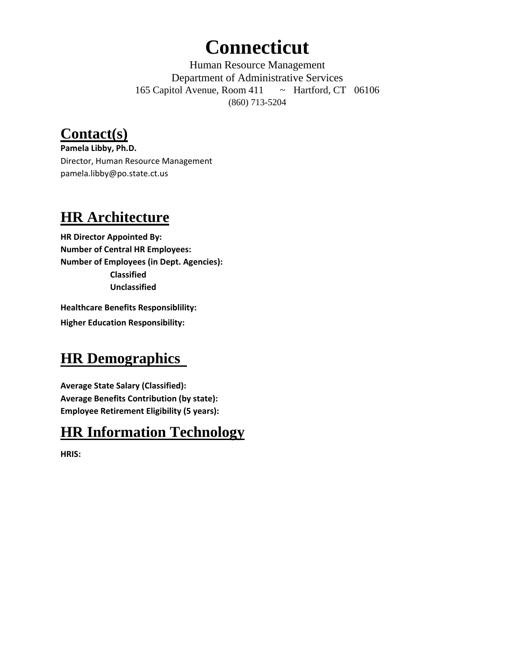## **Connecticut**

Human Resource Management Department of Administrative Services 165 Capitol Avenue, Room 411 ~ Hartford, CT 06106 (860) 713-5204

### **Contact(s)**

**Pamela Libby, Ph.D.** Director, Human Resource Management pamela.libby@po.state.ct.us

#### **HR Architecture**

**HR Director Appointed By: Number of Central HR Employees: Number of Employees (in Dept. Agencies): Classified Unclassified**

**Healthcare Benefits Responsiblility: Higher Education Responsibility:**

#### **HR Demographics**

**Average State Salary (Classified): Average Benefits Contribution (by state): Employee Retirement Eligibility (5 years):**

#### **HR Information Technology**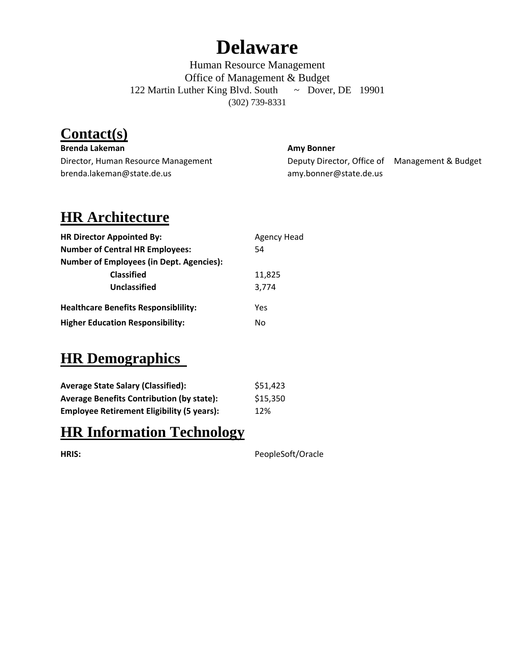## **Delaware**

Human Resource Management Office of Management & Budget 122 Martin Luther King Blvd. South ~ Dover, DE 19901 (302) 739-8331

### **Contact(s)**

**Brenda Lakeman Amy Bonner** brenda.lakeman@state.de.us amy.bonner@state.de.us

Director, Human Resource Management **Deputy Director, Office of** Management & Budget

### **HR Architecture**

| <b>HR Director Appointed By:</b>                | <b>Agency Head</b> |
|-------------------------------------------------|--------------------|
| <b>Number of Central HR Employees:</b>          | 54                 |
| <b>Number of Employees (in Dept. Agencies):</b> |                    |
| <b>Classified</b>                               | 11,825             |
| Unclassified                                    | 3.774              |
| <b>Healthcare Benefits Responsibility:</b>      | Yes                |
| <b>Higher Education Responsibility:</b>         | No                 |

#### **HR Demographics**

| <b>Average State Salary (Classified):</b>         | \$51,423 |
|---------------------------------------------------|----------|
| <b>Average Benefits Contribution (by state):</b>  | \$15,350 |
| <b>Employee Retirement Eligibility (5 years):</b> | 12%      |

#### **HR Information Technology**

|  | ۹ |  |
|--|---|--|

PeopleSoft/Oracle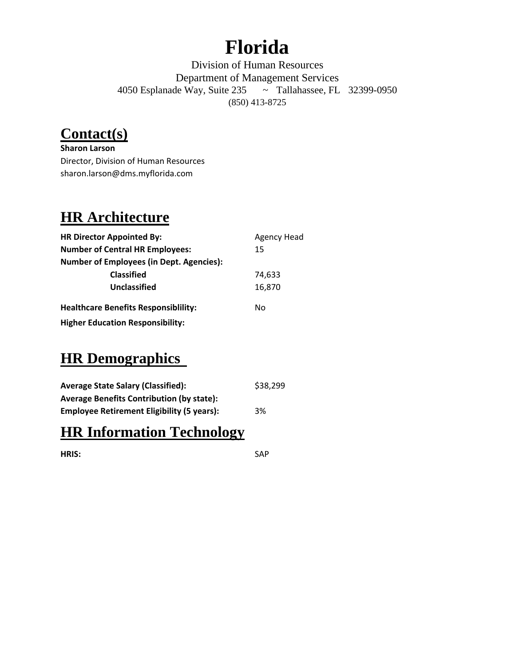## **Florida**

Division of Human Resources Department of Management Services 4050 Esplanade Way, Suite 235 ~ Tallahassee, FL 32399-0950 (850) 413-8725

#### **Contact(s)**

**Sharon Larson** Director, Division of Human Resources sharon.larson@dms.myflorida.com

#### **HR Architecture**

| <b>HR Director Appointed By:</b>                | <b>Agency Head</b> |
|-------------------------------------------------|--------------------|
| <b>Number of Central HR Employees:</b>          | 15                 |
| <b>Number of Employees (in Dept. Agencies):</b> |                    |
| <b>Classified</b>                               | 74.633             |
| Unclassified                                    | 16,870             |
| <b>Healthcare Benefits Responsibility:</b>      | No                 |
| <b>Higher Education Responsibility:</b>         |                    |

#### **HR Demographics**

| <b>Average State Salary (Classified):</b>         | \$38,299 |
|---------------------------------------------------|----------|
| <b>Average Benefits Contribution (by state):</b>  |          |
| <b>Employee Retirement Eligibility (5 years):</b> | 3%       |

#### **HR Information Technology**

**HRIS:** SAP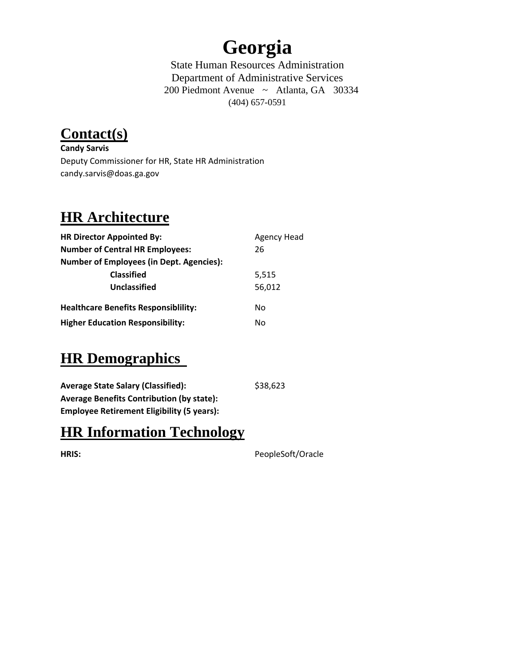## **Georgia**

State Human Resources Administration Department of Administrative Services 200 Piedmont Avenue ~ Atlanta, GA 30334 (404) 657-0591

## **Contact(s)**

**Candy Sarvis** Deputy Commissioner for HR, State HR Administration candy.sarvis@doas.ga.gov

### **HR Architecture**

| <b>HR Director Appointed By:</b>                | <b>Agency Head</b> |
|-------------------------------------------------|--------------------|
| <b>Number of Central HR Employees:</b>          | 26                 |
| <b>Number of Employees (in Dept. Agencies):</b> |                    |
| <b>Classified</b>                               | 5,515              |
| Unclassified                                    | 56,012             |
| <b>Healthcare Benefits Responsibility:</b>      | No                 |
| <b>Higher Education Responsibility:</b>         | No                 |

### **HR Demographics**

| <b>Average State Salary (Classified):</b>         | \$38,623 |
|---------------------------------------------------|----------|
| <b>Average Benefits Contribution (by state):</b>  |          |
| <b>Employee Retirement Eligibility (5 years):</b> |          |

#### **HR Information Technology**

**HRIS:** PeopleSoft/Oracle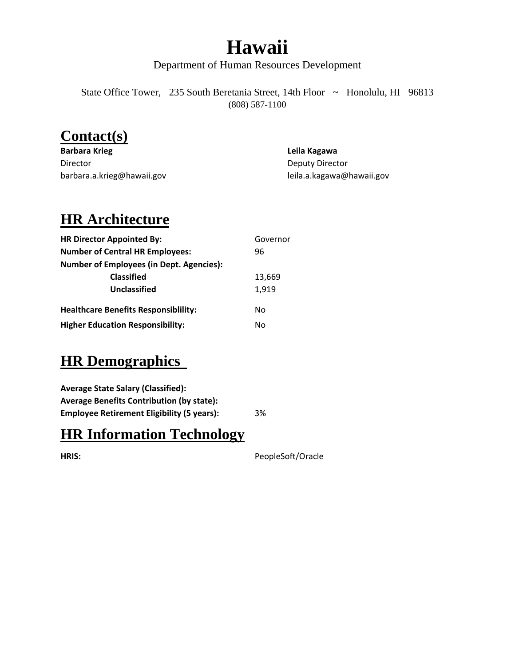## **Hawaii**

Department of Human Resources Development

State Office Tower, 235 South Beretania Street, 14th Floor ~ Honolulu, HI 96813 (808) 587-1100

#### **Contact(s)**

**Barbara Krieg Leila Kagawa** Director **Director** Deputy Director barbara.a.krieg@hawaii.gov leila.a.kagawa@hawaii.gov

#### **HR Architecture**

| <b>HR Director Appointed By:</b>                | Governor |
|-------------------------------------------------|----------|
| <b>Number of Central HR Employees:</b>          | 96       |
| <b>Number of Employees (in Dept. Agencies):</b> |          |
| <b>Classified</b>                               | 13,669   |
| Unclassified                                    | 1,919    |
| <b>Healthcare Benefits Responsibility:</b>      | No       |
| <b>Higher Education Responsibility:</b>         | No       |

### **HR Demographics**

**Average State Salary (Classified): Average Benefits Contribution (by state): Employee Retirement Eligibility (5 years):** 3%

**HR Information Technology**

**HRIS:** PeopleSoft/Oracle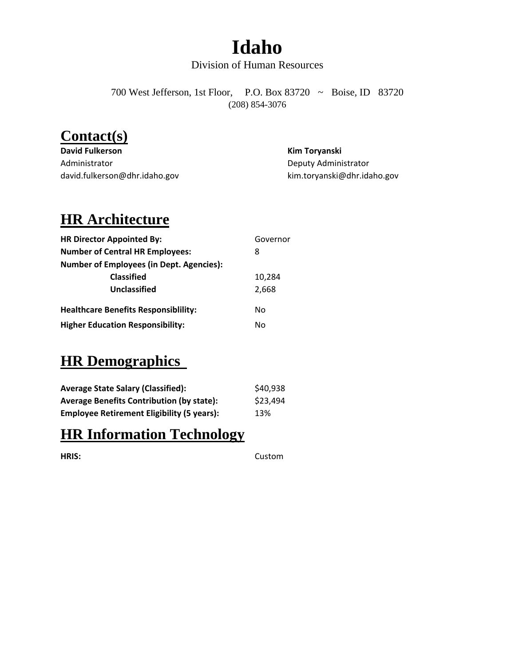## **Idaho**

#### Division of Human Resources

700 West Jefferson, 1st Floor, P.O. Box 83720 ~ Boise, ID 83720 (208) 854-3076

#### **Contact(s)**

**David Fulkerson Kim Toryanski** Administrator **Deputy Administrator** Deputy Administrator david.fulkerson@dhr.idaho.gov kim.toryanski@dhr.idaho.gov

#### **HR Architecture**

| <b>HR Director Appointed By:</b>                | Governor |
|-------------------------------------------------|----------|
| <b>Number of Central HR Employees:</b>          | 8        |
| <b>Number of Employees (in Dept. Agencies):</b> |          |
| <b>Classified</b>                               | 10,284   |
| Unclassified                                    | 2.668    |
| <b>Healthcare Benefits Responsibility:</b>      | No       |
| <b>Higher Education Responsibility:</b>         | No       |

#### **HR Demographics**

| <b>Average State Salary (Classified):</b>         | \$40,938 |
|---------------------------------------------------|----------|
| <b>Average Benefits Contribution (by state):</b>  | \$23,494 |
| <b>Employee Retirement Eligibility (5 years):</b> | 13%      |

#### **HR Information Technology**

**HRIS:** Custom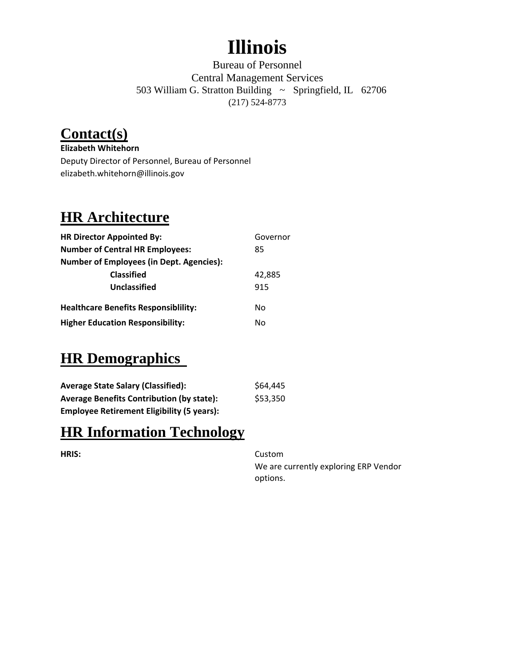# **Illinois**

Bureau of Personnel Central Management Services 503 William G. Stratton Building ~ Springfield, IL 62706 (217) 524-8773

## **Contact(s)**

**Elizabeth Whitehorn** Deputy Director of Personnel, Bureau of Personnel elizabeth.whitehorn@illinois.gov

## **HR Architecture**

| <b>HR Director Appointed By:</b>                | Governor |
|-------------------------------------------------|----------|
| <b>Number of Central HR Employees:</b>          | 85       |
| <b>Number of Employees (in Dept. Agencies):</b> |          |
| <b>Classified</b>                               | 42,885   |
| Unclassified                                    | 915      |
| <b>Healthcare Benefits Responsibility:</b>      | No       |
| <b>Higher Education Responsibility:</b>         | No       |

### **HR Demographics**

| <b>Average State Salary (Classified):</b>         | \$64,445 |
|---------------------------------------------------|----------|
| <b>Average Benefits Contribution (by state):</b>  | \$53,350 |
| <b>Employee Retirement Eligibility (5 years):</b> |          |

#### **HR Information Technology**

**HRIS:** Custom

We are currently exploring ERP Vendor options.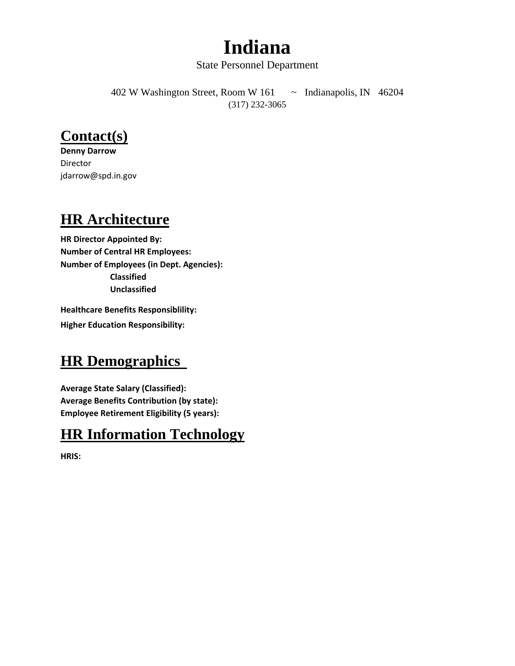## **Indiana**

#### State Personnel Department

402 W Washington Street, Room W 161 ~ Indianapolis, IN 46204 (317) 232-3065

#### **Contact(s)**

**Denny Darrow** Director jdarrow@spd.in.gov

#### **HR Architecture**

**HR Director Appointed By: Number of Central HR Employees: Number of Employees (in Dept. Agencies): Classified Unclassified**

**Healthcare Benefits Responsiblility: Higher Education Responsibility:**

#### **HR Demographics**

**Average State Salary (Classified): Average Benefits Contribution (by state): Employee Retirement Eligibility (5 years):**

#### **HR Information Technology**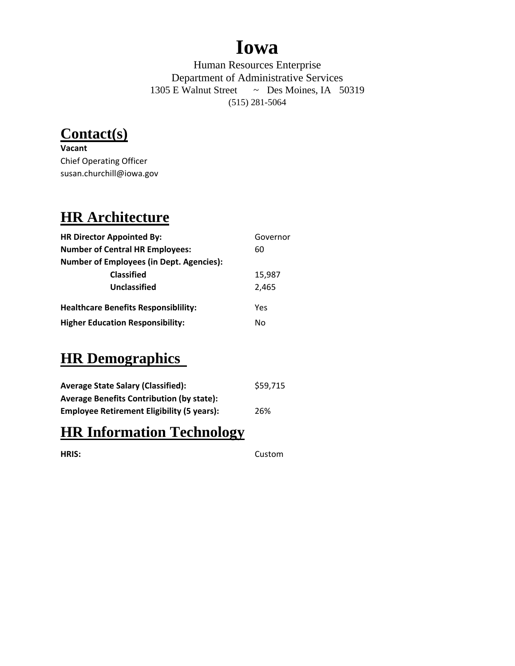## **Iowa**

Human Resources Enterprise Department of Administrative Services 1305 E Walnut Street ~ Des Moines, IA 50319 (515) 281-5064

**Contact(s)**

**Vacant** Chief Operating Officer susan.churchill@iowa.gov

#### **HR Architecture**

| <b>HR Director Appointed By:</b>                | Governor |
|-------------------------------------------------|----------|
| <b>Number of Central HR Employees:</b>          | 60       |
| <b>Number of Employees (in Dept. Agencies):</b> |          |
| <b>Classified</b>                               | 15,987   |
| Unclassified                                    | 2,465    |
| <b>Healthcare Benefits Responsibility:</b>      | Yes      |
| <b>Higher Education Responsibility:</b>         | No       |

### **HR Demographics**

| <b>Average State Salary (Classified):</b>         | \$59,715 |
|---------------------------------------------------|----------|
| <b>Average Benefits Contribution (by state):</b>  |          |
| <b>Employee Retirement Eligibility (5 years):</b> | 26%      |

#### **HR Information Technology**

**HRIS:** Custom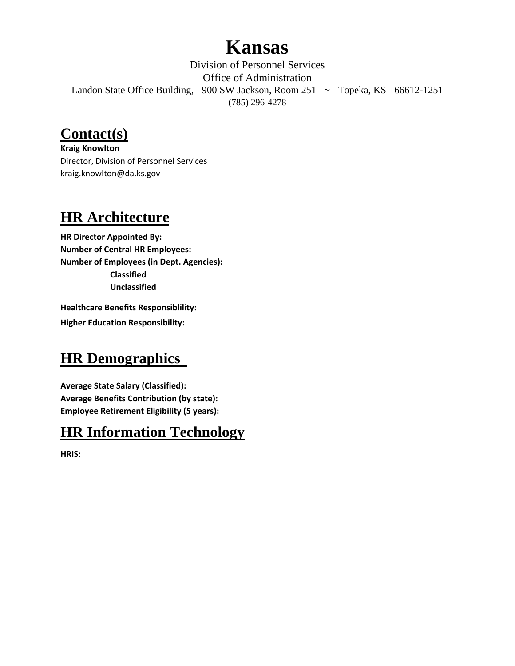## **Kansas**

Division of Personnel Services Office of Administration Landon State Office Building, 900 SW Jackson, Room 251 ~ Topeka, KS 66612-1251 (785) 296-4278

#### **Contact(s)**

**Kraig Knowlton** Director, Division of Personnel Services kraig.knowlton@da.ks.gov

### **HR Architecture**

**HR Director Appointed By: Number of Central HR Employees: Number of Employees (in Dept. Agencies): Classified Unclassified**

**Healthcare Benefits Responsiblility: Higher Education Responsibility:**

## **HR Demographics**

**Average State Salary (Classified): Average Benefits Contribution (by state): Employee Retirement Eligibility (5 years):**

### **HR Information Technology**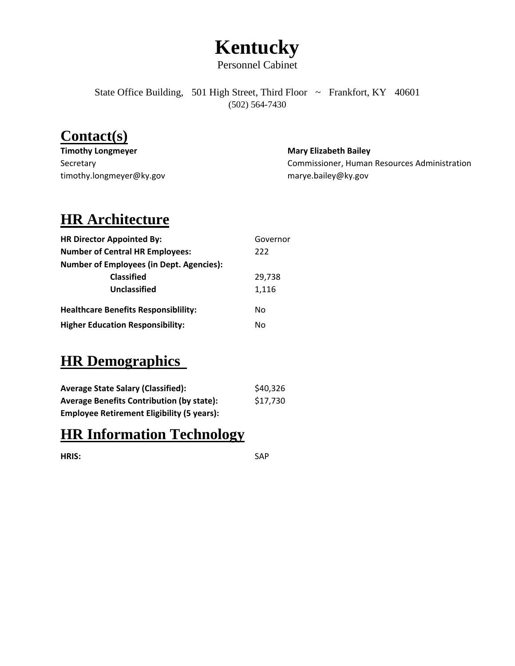# **Kentucky**

Personnel Cabinet

State Office Building, 501 High Street, Third Floor ~ Frankfort, KY 40601 (502) 564-7430

#### **Contact(s)**

| <b>Timothy Longmeyer</b> | <b>Mary Elizabeth Bailey</b>                 |
|--------------------------|----------------------------------------------|
| Secretary                | Commissioner, Human Resources Administration |
| timothy.longmeyer@ky.gov | marye.bailey@ky.gov                          |

#### **HR Architecture**

| <b>HR Director Appointed By:</b>                | Governor |
|-------------------------------------------------|----------|
| <b>Number of Central HR Employees:</b>          | 222      |
| <b>Number of Employees (in Dept. Agencies):</b> |          |
| <b>Classified</b>                               | 29,738   |
| Unclassified                                    | 1,116    |
| <b>Healthcare Benefits Responsibility:</b>      | No       |
| <b>Higher Education Responsibility:</b>         | N٥       |

#### **HR Demographics**

| <b>Average State Salary (Classified):</b>         | \$40,326 |
|---------------------------------------------------|----------|
| <b>Average Benefits Contribution (by state):</b>  | \$17,730 |
| <b>Employee Retirement Eligibility (5 years):</b> |          |

#### **HR Information Technology**

**HRIS:** SAP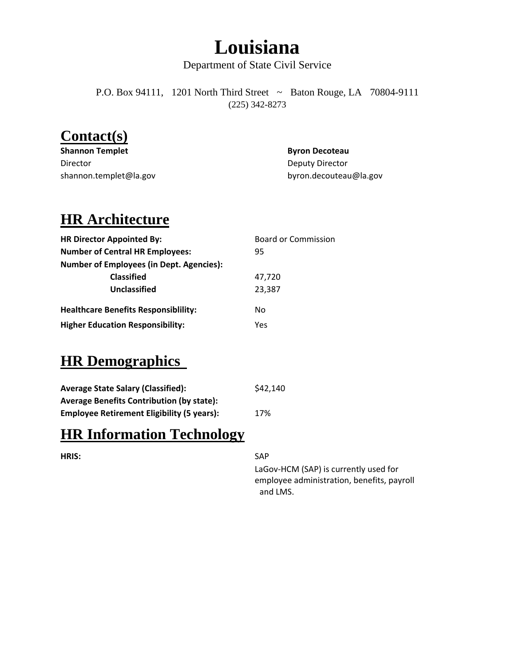## **Louisiana**

Department of State Civil Service

P.O. Box 94111, 1201 North Third Street ~ Baton Rouge, LA 70804-9111 (225) 342-8273

#### **Contact(s)**

| <b>Shannon Templet</b> | <b>Byron Decoteau</b>  |
|------------------------|------------------------|
| Director               | Deputy Director        |
| shannon.templet@la.gov | byron.decouteau@la.gov |

#### **HR Architecture**

| <b>HR Director Appointed By:</b>                | <b>Board or Commission</b> |
|-------------------------------------------------|----------------------------|
| <b>Number of Central HR Employees:</b>          | 95                         |
| <b>Number of Employees (in Dept. Agencies):</b> |                            |
| <b>Classified</b>                               | 47,720                     |
| <b>Unclassified</b>                             | 23,387                     |
| <b>Healthcare Benefits Responsibility:</b>      | No                         |
| <b>Higher Education Responsibility:</b>         | Yes                        |

#### **HR Demographics**

| <b>Average State Salary (Classified):</b>         | \$42,140 |
|---------------------------------------------------|----------|
| <b>Average Benefits Contribution (by state):</b>  |          |
| <b>Employee Retirement Eligibility (5 years):</b> | 17%      |

#### **HR Information Technology**

#### **HRIS:** SAP

LaGov‐HCM (SAP) is currently used for employee administration, benefits, payroll and LMS.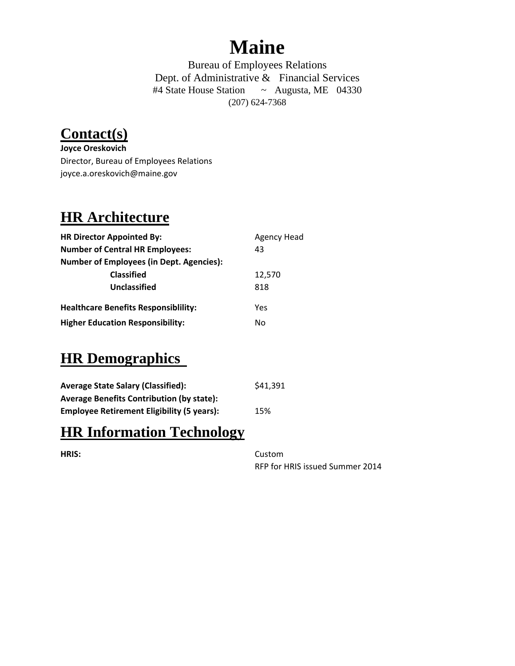## **Maine**

Bureau of Employees Relations Dept. of Administrative & Financial Services #4 State House Station ~ Augusta, ME 04330 (207) 624-7368

## **Contact(s)**

**Joyce Oreskovich** Director, Bureau of Employees Relations joyce.a.oreskovich@maine.gov

#### **HR Architecture**

| <b>HR Director Appointed By:</b>                | <b>Agency Head</b> |
|-------------------------------------------------|--------------------|
| <b>Number of Central HR Employees:</b>          | 43                 |
| <b>Number of Employees (in Dept. Agencies):</b> |                    |
| <b>Classified</b>                               | 12,570             |
| Unclassified                                    | 818                |
| <b>Healthcare Benefits Responsibility:</b>      | Yes                |
| <b>Higher Education Responsibility:</b>         | No                 |

#### **HR Demographics**

| <b>Average State Salary (Classified):</b>         | \$41,391 |
|---------------------------------------------------|----------|
| <b>Average Benefits Contribution (by state):</b>  |          |
| <b>Employee Retirement Eligibility (5 years):</b> | 15%      |

#### **HR Information Technology**

| ۰. |  |
|----|--|

**HRIS:** Custom RFP for HRIS issued Summer 2014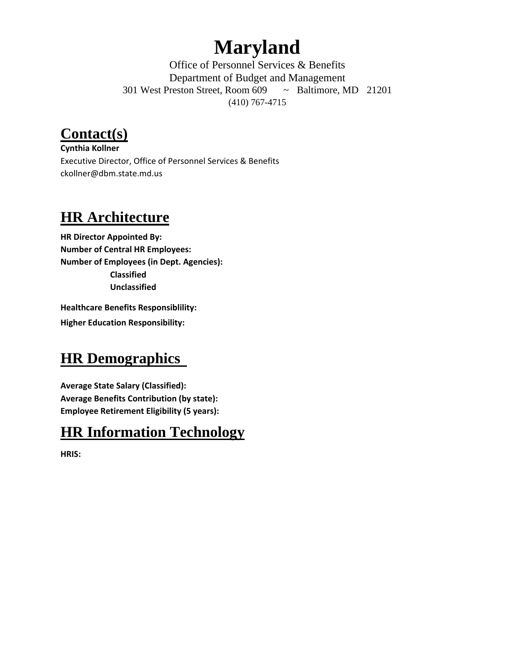# **Maryland**

Office of Personnel Services & Benefits Department of Budget and Management 301 West Preston Street, Room 609 ~ Baltimore, MD 21201 (410) 767-4715

### **Contact(s)**

**Cynthia Kollner** Executive Director, Office of Personnel Services & Benefits ckollner@dbm.state.md.us

#### **HR Architecture**

**HR Director Appointed By: Number of Central HR Employees: Number of Employees (in Dept. Agencies): Classified Unclassified**

**Healthcare Benefits Responsiblility: Higher Education Responsibility:**

### **HR Demographics**

**Average State Salary (Classified): Average Benefits Contribution (by state): Employee Retirement Eligibility (5 years):**

#### **HR Information Technology**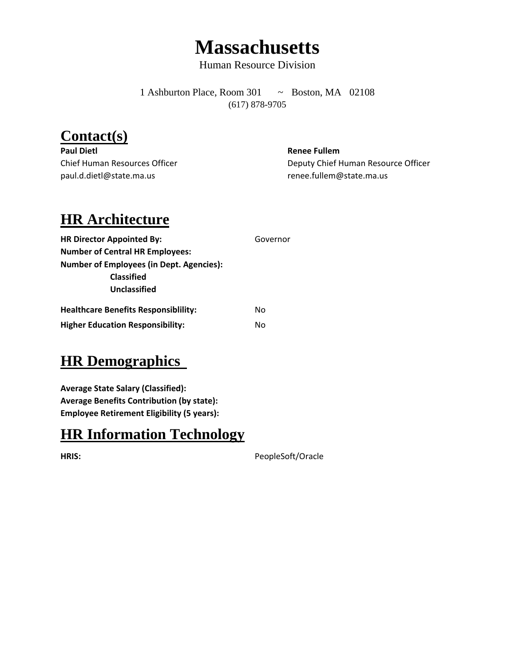## **Massachusetts**

Human Resource Division

1 Ashburton Place, Room 301 ~ Boston, MA 02108 (617) 878-9705

#### **Contact(s)**

**Paul Dietl Renee Fullem** paul.d.dietl@state.ma.us renee.fullem@state.ma.us

Chief Human Resources Officer **Deputy Chief Human Resource Officer** Deputy Chief Human Resource Officer

#### **HR Architecture**

| <b>HR Director Appointed By:</b>                | Governor |
|-------------------------------------------------|----------|
| <b>Number of Central HR Employees:</b>          |          |
| <b>Number of Employees (in Dept. Agencies):</b> |          |
| <b>Classified</b>                               |          |
| Unclassified                                    |          |
| <b>Healthcare Benefits Responsibility:</b>      | No       |
| <b>Higher Education Responsibility:</b>         | No       |

#### **HR Demographics**

**Average State Salary (Classified): Average Benefits Contribution (by state): Employee Retirement Eligibility (5 years):**

#### **HR Information Technology**

**HRIS:** PeopleSoft/Oracle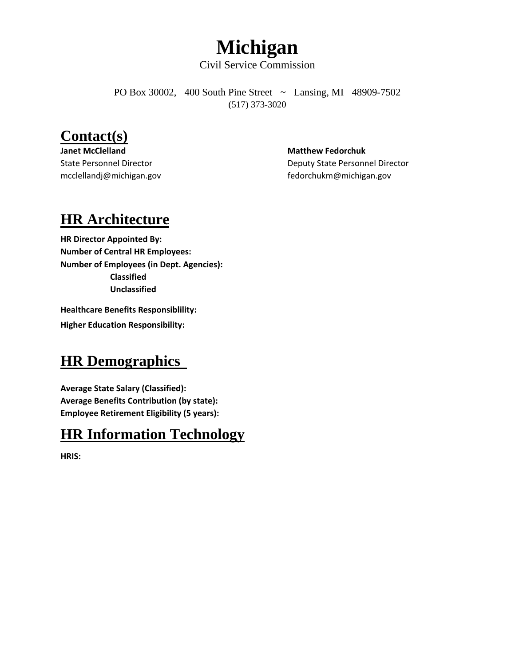## **Michigan**

Civil Service Commission

PO Box 30002, 400 South Pine Street ~ Lansing, MI 48909-7502 (517) 373-3020

#### **Contact(s)**

**Janet McClelland Matthew Fedorchuk** 

State Personnel Director **Deputy State Personnel Director** Deputy State Personnel Director mcclellandj@michigan.gov fedorchukm@michigan.gov

#### **HR Architecture**

**HR Director Appointed By: Number of Central HR Employees: Number of Employees (in Dept. Agencies): Classified Unclassified**

**Healthcare Benefits Responsiblility: Higher Education Responsibility:**

#### **HR Demographics**

**Average State Salary (Classified): Average Benefits Contribution (by state): Employee Retirement Eligibility (5 years):**

#### **HR Information Technology**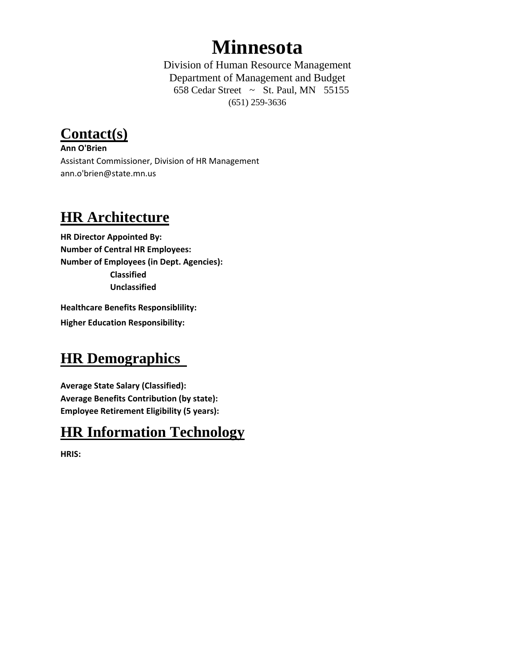## **Minnesota**

Division of Human Resource Management Department of Management and Budget 658 Cedar Street ~ St. Paul, MN  $55155$ (651) 259-3636

**Contact(s)**

**Ann O'Brien** Assistant Commissioner, Division of HR Management ann.o'brien@state.mn.us

#### **HR Architecture**

**HR Director Appointed By: Number of Central HR Employees: Number of Employees (in Dept. Agencies): Classified Unclassified**

**Healthcare Benefits Responsiblility: Higher Education Responsibility:**

#### **HR Demographics**

**Average State Salary (Classified): Average Benefits Contribution (by state): Employee Retirement Eligibility (5 years):**

#### **HR Information Technology**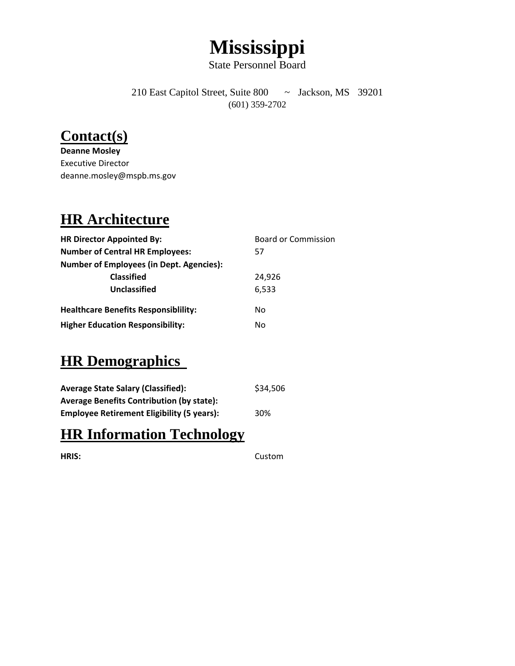# **Mississippi**

State Personnel Board

210 East Capitol Street, Suite 800 ~ Jackson, MS 39201 (601) 359-2702

#### **Contact(s)**

**Deanne Mosley** Executive Director deanne.mosley@mspb.ms.gov

#### **HR Architecture**

| <b>HR Director Appointed By:</b>                | <b>Board or Commission</b> |
|-------------------------------------------------|----------------------------|
| <b>Number of Central HR Employees:</b>          | 57                         |
| <b>Number of Employees (in Dept. Agencies):</b> |                            |
| <b>Classified</b>                               | 24.926                     |
| <b>Unclassified</b>                             | 6,533                      |
| <b>Healthcare Benefits Responsibility:</b>      | No                         |
| <b>Higher Education Responsibility:</b>         | No                         |

#### **HR Demographics**

| <b>Average State Salary (Classified):</b>         | \$34,506 |
|---------------------------------------------------|----------|
| <b>Average Benefits Contribution (by state):</b>  |          |
| <b>Employee Retirement Eligibility (5 years):</b> | 30%      |

#### **HR Information Technology**

**HRIS:** Custom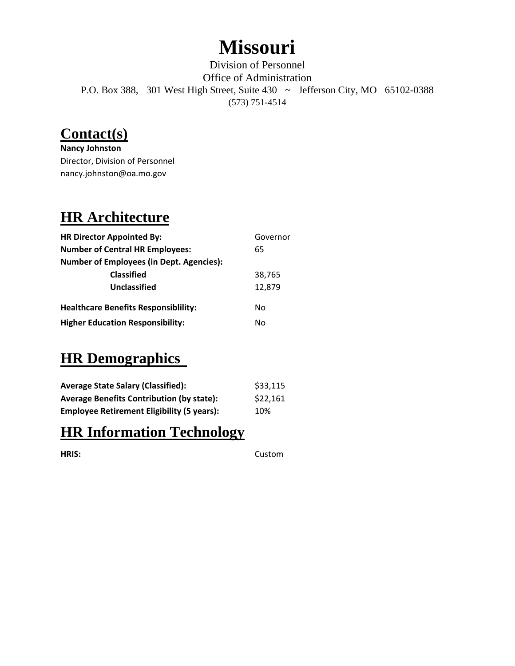## **Missouri**

Division of Personnel Office of Administration P.O. Box 388, 301 West High Street, Suite 430 ~ Jefferson City, MO 65102-0388 (573) 751-4514

#### **Contact(s)**

**Nancy Johnston** Director, Division of Personnel nancy.johnston@oa.mo.gov

#### **HR Architecture**

| <b>HR Director Appointed By:</b>                | Governor |
|-------------------------------------------------|----------|
| <b>Number of Central HR Employees:</b>          | 65       |
| <b>Number of Employees (in Dept. Agencies):</b> |          |
| <b>Classified</b>                               | 38,765   |
| Unclassified                                    | 12,879   |
| <b>Healthcare Benefits Responsibility:</b>      | N٥       |
| <b>Higher Education Responsibility:</b>         | No       |

#### **HR Demographics**

| <b>Average State Salary (Classified):</b>         | \$33,115 |
|---------------------------------------------------|----------|
| <b>Average Benefits Contribution (by state):</b>  | \$22,161 |
| <b>Employee Retirement Eligibility (5 years):</b> | 10%      |

#### **HR Information Technology**

**HRIS:** Custom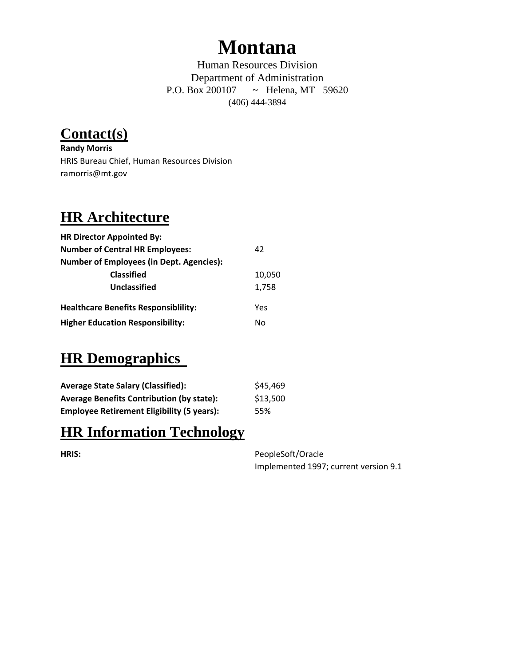## **Montana**

Human Resources Division Department of Administration P.O. Box 200107 ~ Helena, MT 59620 (406) 444-3894

**Contact(s)**

**Randy Morris** HRIS Bureau Chief, Human Resources Division ramorris@mt.gov

#### **HR Architecture**

| <b>HR Director Appointed By:</b>                |        |
|-------------------------------------------------|--------|
| <b>Number of Central HR Employees:</b>          | 42     |
| <b>Number of Employees (in Dept. Agencies):</b> |        |
| <b>Classified</b>                               | 10,050 |
| Unclassified                                    | 1,758  |
| <b>Healthcare Benefits Responsibility:</b>      | Yes    |
| <b>Higher Education Responsibility:</b>         | N٥     |

#### **HR Demographics**

| <b>Average State Salary (Classified):</b>         | \$45,469 |
|---------------------------------------------------|----------|
| <b>Average Benefits Contribution (by state):</b>  | \$13,500 |
| <b>Employee Retirement Eligibility (5 years):</b> | 55%      |

#### **HR Information Technology**

**HRIS:** PeopleSoft/Oracle Implemented 1997; current version 9.1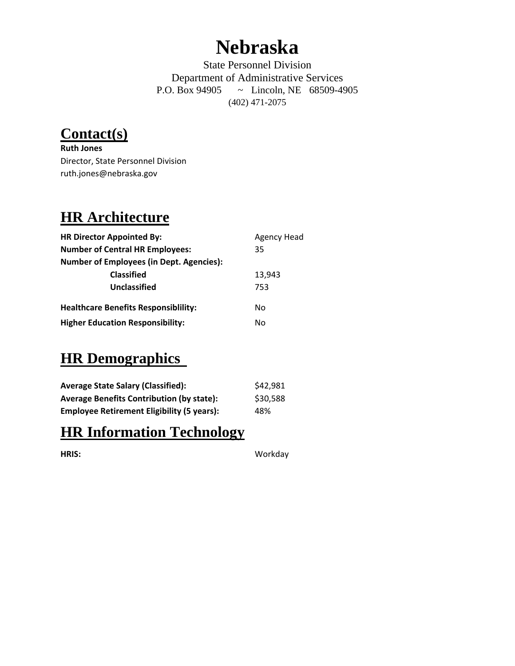## **Nebraska**

State Personnel Division Department of Administrative Services P.O. Box 94905 ~ Lincoln, NE 68509-4905 (402) 471-2075

**Contact(s)**

**Ruth Jones** Director, State Personnel Division ruth.jones@nebraska.gov

#### **HR Architecture**

| <b>HR Director Appointed By:</b>                | <b>Agency Head</b> |
|-------------------------------------------------|--------------------|
| <b>Number of Central HR Employees:</b>          | 35                 |
| <b>Number of Employees (in Dept. Agencies):</b> |                    |
| <b>Classified</b>                               | 13,943             |
| Unclassified                                    | 753                |
| <b>Healthcare Benefits Responsibility:</b>      | No                 |
| <b>Higher Education Responsibility:</b>         | No                 |

#### **HR Demographics**

| <b>Average State Salary (Classified):</b>         | \$42,981 |
|---------------------------------------------------|----------|
| <b>Average Benefits Contribution (by state):</b>  | \$30,588 |
| <b>Employee Retirement Eligibility (5 years):</b> | 48%      |

#### **HR Information Technology**

**HRIS:** Workday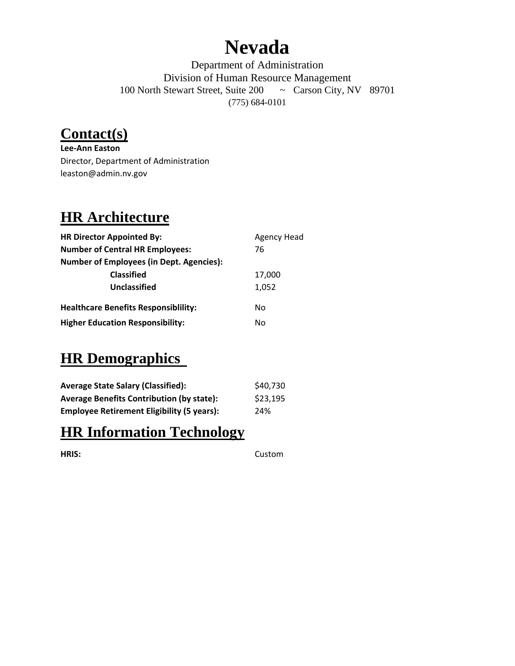## **Nevada**

Department of Administration Division of Human Resource Management 100 North Stewart Street, Suite 200 ~ Carson City, NV 89701 (775) 684-0101

#### **Contact(s)**

**Lee‐Ann Easton** Director, Department of Administration leaston@admin.nv.gov

### **HR Architecture**

| <b>HR Director Appointed By:</b>                | <b>Agency Head</b> |
|-------------------------------------------------|--------------------|
| <b>Number of Central HR Employees:</b>          | 76                 |
| <b>Number of Employees (in Dept. Agencies):</b> |                    |
| <b>Classified</b>                               | 17,000             |
| Unclassified                                    | 1,052              |
| <b>Healthcare Benefits Responsibility:</b>      | No                 |
| <b>Higher Education Responsibility:</b>         | No                 |

#### **HR Demographics**

| <b>Average State Salary (Classified):</b>         | \$40,730 |
|---------------------------------------------------|----------|
| <b>Average Benefits Contribution (by state):</b>  | \$23,195 |
| <b>Employee Retirement Eligibility (5 years):</b> | 24%      |

#### **HR Information Technology**

**HRIS:** Custom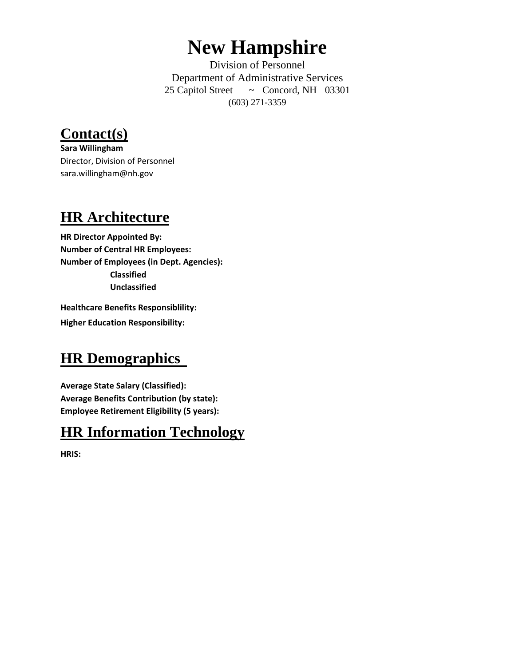## **New Hampshire**

Division of Personnel Department of Administrative Services 25 Capitol Street ~ Concord, NH 03301 (603) 271-3359

### **Contact(s)**

**Sara Willingham** Director, Division of Personnel sara.willingham@nh.gov

#### **HR Architecture**

**HR Director Appointed By: Number of Central HR Employees: Number of Employees (in Dept. Agencies): Classified Unclassified**

**Healthcare Benefits Responsiblility: Higher Education Responsibility:**

#### **HR Demographics**

**Average State Salary (Classified): Average Benefits Contribution (by state): Employee Retirement Eligibility (5 years):**

#### **HR Information Technology**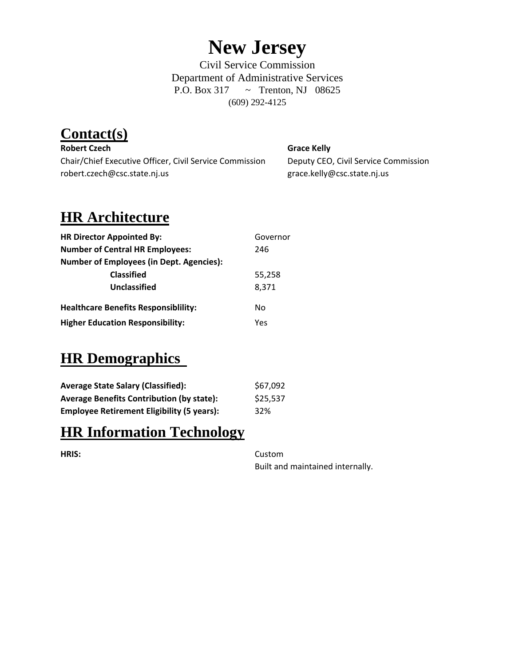## **New Jersey**

Civil Service Commission Department of Administrative Services P.O. Box 317 ~ Trenton, NJ 08625 (609) 292-4125

## **Contact(s)**

**Robert Czech Grace Kelly** Chair/Chief Executive Officer, Civil Service Commission Deputy CEO, Civil Service Commission robert.czech@csc.state.nj.us grace.kelly@csc.state.nj.us

### **HR Architecture**

| <b>HR Director Appointed By:</b>                | Governor |
|-------------------------------------------------|----------|
| <b>Number of Central HR Employees:</b>          | 246      |
| <b>Number of Employees (in Dept. Agencies):</b> |          |
| <b>Classified</b>                               | 55,258   |
| Unclassified                                    | 8,371    |
| <b>Healthcare Benefits Responsibility:</b>      | No       |
| <b>Higher Education Responsibility:</b>         | Yes      |

#### **HR Demographics**

| <b>Average State Salary (Classified):</b>         | \$67,092 |
|---------------------------------------------------|----------|
| <b>Average Benefits Contribution (by state):</b>  | \$25,537 |
| <b>Employee Retirement Eligibility (5 years):</b> | 32%      |

#### **HR Information Technology**

**HRIS:** Custom

Built and maintained internally.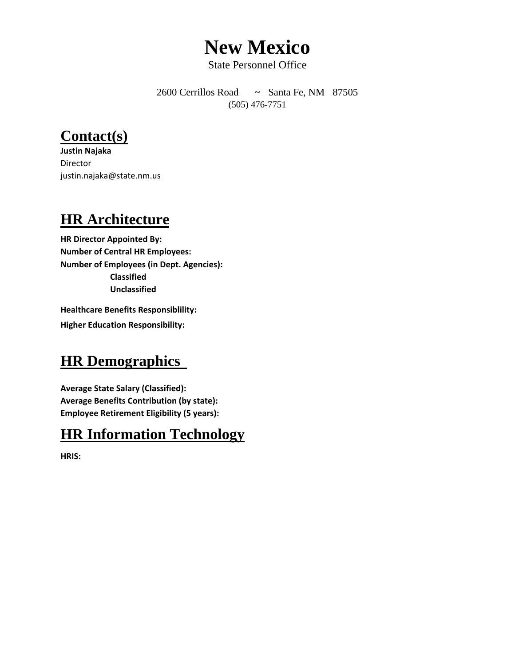## **New Mexico**

State Personnel Office

2600 Cerrillos Road ~ Santa Fe, NM 87505 (505) 476-7751

#### **Contact(s)**

**Justin Najaka** Director justin.najaka@state.nm.us

#### **HR Architecture**

**HR Director Appointed By: Number of Central HR Employees: Number of Employees (in Dept. Agencies): Classified Unclassified**

**Healthcare Benefits Responsiblility: Higher Education Responsibility:**

#### **HR Demographics**

**Average State Salary (Classified): Average Benefits Contribution (by state): Employee Retirement Eligibility (5 years):**

#### **HR Information Technology**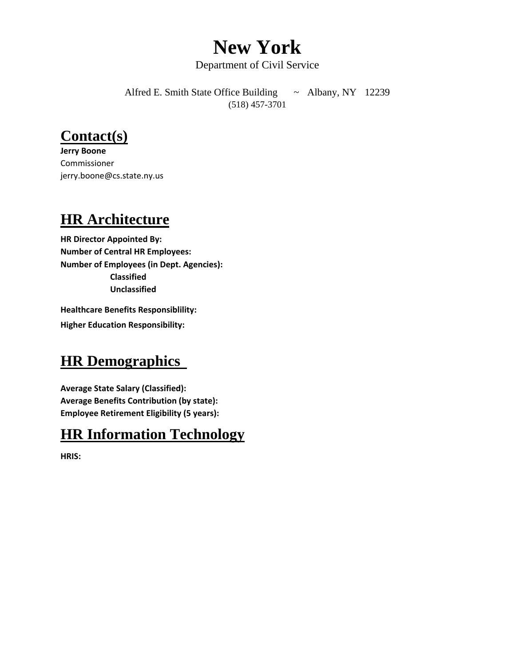## **New York**

Department of Civil Service

Alfred E. Smith State Office Building ~ Albany, NY 12239 (518) 457-3701

#### **Contact(s)**

**Jerry Boone** Commissioner jerry.boone@cs.state.ny.us

#### **HR Architecture**

**HR Director Appointed By: Number of Central HR Employees: Number of Employees (in Dept. Agencies): Classified Unclassified**

**Healthcare Benefits Responsiblility: Higher Education Responsibility:**

#### **HR Demographics**

**Average State Salary (Classified): Average Benefits Contribution (by state): Employee Retirement Eligibility (5 years):**

#### **HR Information Technology**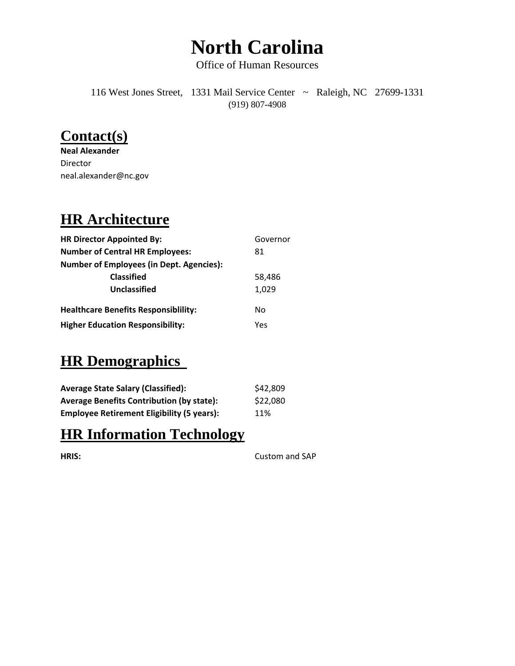# **North Carolina**

Office of Human Resources

116 West Jones Street, 1331 Mail Service Center ~ Raleigh, NC 27699-1331 (919) 807-4908

#### **Contact(s)**

**Neal Alexander** Director neal.alexander@nc.gov

#### **HR Architecture**

| <b>HR Director Appointed By:</b>                | Governor |
|-------------------------------------------------|----------|
| <b>Number of Central HR Employees:</b>          | 81       |
| <b>Number of Employees (in Dept. Agencies):</b> |          |
| <b>Classified</b>                               | 58,486   |
| Unclassified                                    | 1,029    |
| <b>Healthcare Benefits Responsibility:</b>      | No       |
| <b>Higher Education Responsibility:</b>         | Yes      |

#### **HR Demographics**

| <b>Average State Salary (Classified):</b>         | \$42,809 |
|---------------------------------------------------|----------|
| <b>Average Benefits Contribution (by state):</b>  | \$22,080 |
| <b>Employee Retirement Eligibility (5 years):</b> | 11%      |

#### **HR Information Technology**

| HRIS |  |
|------|--|
|      |  |

Custom and SAP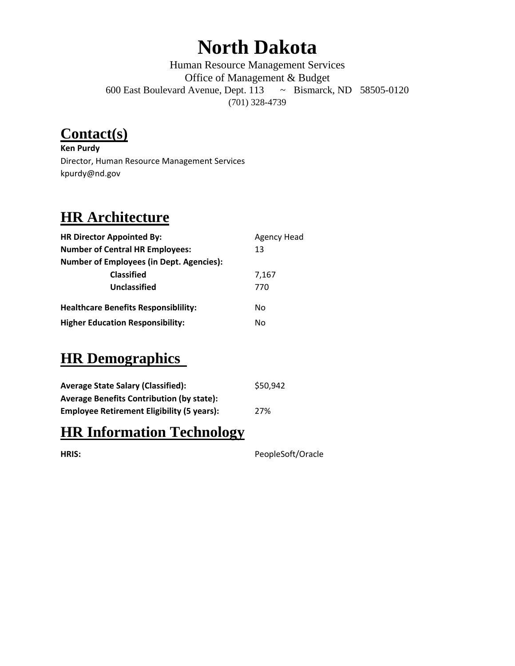## **North Dakota**

Human Resource Management Services Office of Management & Budget 600 East Boulevard Avenue, Dept. 113 ~ Bismarck, ND 58505-0120 (701) 328-4739

#### **Contact(s)**

**Ken Purdy** Director, Human Resource Management Services kpurdy@nd.gov

## **HR Architecture**

| <b>HR Director Appointed By:</b>                | <b>Agency Head</b> |
|-------------------------------------------------|--------------------|
| <b>Number of Central HR Employees:</b>          | 13                 |
| <b>Number of Employees (in Dept. Agencies):</b> |                    |
| <b>Classified</b>                               | 7,167              |
| Unclassified                                    | 770                |
| <b>Healthcare Benefits Responsibility:</b>      | No                 |
| <b>Higher Education Responsibility:</b>         | No                 |

#### **HR Demographics**

| <b>Average State Salary (Classified):</b>         | \$50,942 |
|---------------------------------------------------|----------|
| <b>Average Benefits Contribution (by state):</b>  |          |
| <b>Employee Retirement Eligibility (5 years):</b> | 27%      |

#### **HR Information Technology**

| PeopleSoft/Oracle |
|-------------------|
|                   |
|                   |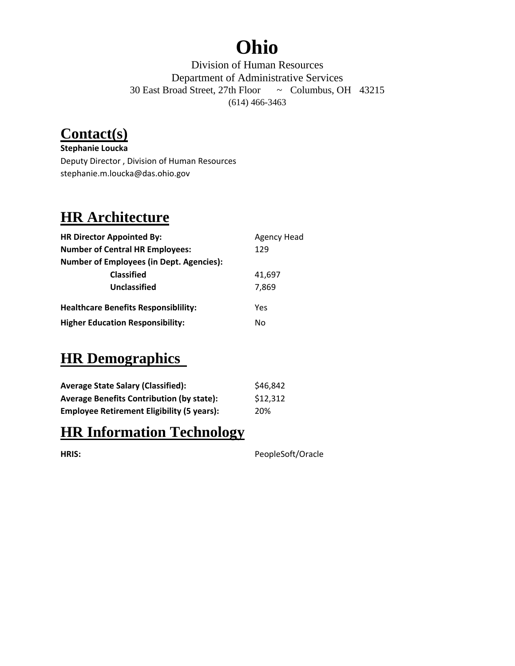## **Ohio**

Division of Human Resources Department of Administrative Services 30 East Broad Street, 27th Floor ~ Columbus, OH 43215 (614) 466-3463

### **Contact(s)**

**Stephanie Loucka** Deputy Director , Division of Human Resources stephanie.m.loucka@das.ohio.gov

#### **HR Architecture**

| <b>HR Director Appointed By:</b>                | <b>Agency Head</b> |
|-------------------------------------------------|--------------------|
| <b>Number of Central HR Employees:</b>          | 129                |
| <b>Number of Employees (in Dept. Agencies):</b> |                    |
| <b>Classified</b>                               | 41,697             |
| Unclassified                                    | 7.869              |
| <b>Healthcare Benefits Responsibility:</b>      | Yes                |
| <b>Higher Education Responsibility:</b>         | No                 |

#### **HR Demographics**

| <b>Average State Salary (Classified):</b>         | \$46,842 |
|---------------------------------------------------|----------|
| <b>Average Benefits Contribution (by state):</b>  | \$12,312 |
| <b>Employee Retirement Eligibility (5 years):</b> | 20%      |

#### **HR Information Technology**

|  | ۰. |  |
|--|----|--|

PeopleSoft/Oracle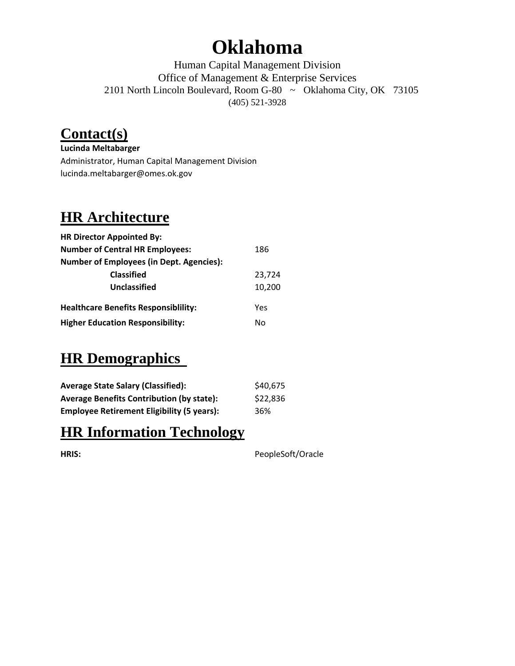## **Oklahoma**

Human Capital Management Division Office of Management & Enterprise Services 2101 North Lincoln Boulevard, Room G-80 ~ Oklahoma City, OK 73105 (405) 521-3928

### **Contact(s)**

**Lucinda Meltabarger** Administrator, Human Capital Management Division lucinda.meltabarger@omes.ok.gov

#### **HR Architecture**

| <b>HR Director Appointed By:</b>                |        |
|-------------------------------------------------|--------|
| <b>Number of Central HR Employees:</b>          | 186    |
| <b>Number of Employees (in Dept. Agencies):</b> |        |
| <b>Classified</b>                               | 23,724 |
| Unclassified                                    | 10,200 |
| <b>Healthcare Benefits Responsibility:</b>      | Yes    |
| <b>Higher Education Responsibility:</b>         | No     |
|                                                 |        |

#### **HR Demographics**

| <b>Average State Salary (Classified):</b>         | \$40,675 |
|---------------------------------------------------|----------|
| <b>Average Benefits Contribution (by state):</b>  | \$22,836 |
| <b>Employee Retirement Eligibility (5 years):</b> | 36%      |

#### **HR Information Technology**

**HRIS:** PeopleSoft/Oracle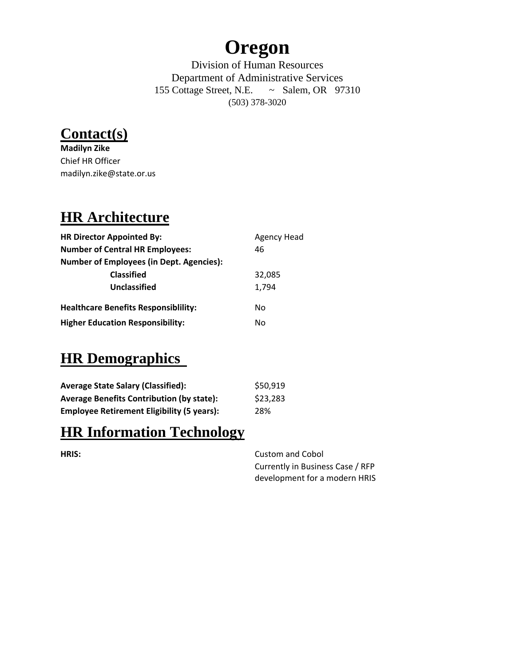## **Oregon**

Division of Human Resources Department of Administrative Services 155 Cottage Street, N.E. ~ Salem, OR 97310 (503) 378-3020



**Madilyn Zike** Chief HR Officer madilyn.zike@state.or.us

### **HR Architecture**

| <b>HR Director Appointed By:</b>                | <b>Agency Head</b> |
|-------------------------------------------------|--------------------|
| <b>Number of Central HR Employees:</b>          | 46                 |
| <b>Number of Employees (in Dept. Agencies):</b> |                    |
| <b>Classified</b>                               | 32,085             |
| Unclassified                                    | 1,794              |
| <b>Healthcare Benefits Responsibility:</b>      | No                 |
| <b>Higher Education Responsibility:</b>         | No                 |

### **HR Demographics**

| <b>Average State Salary (Classified):</b>         | \$50,919 |
|---------------------------------------------------|----------|
| <b>Average Benefits Contribution (by state):</b>  | \$23,283 |
| <b>Employee Retirement Eligibility (5 years):</b> | 28%      |

#### **HR Information Technology**

**HRIS:** Custom and Cobol Currently in Business Case / RFP development for a modern HRIS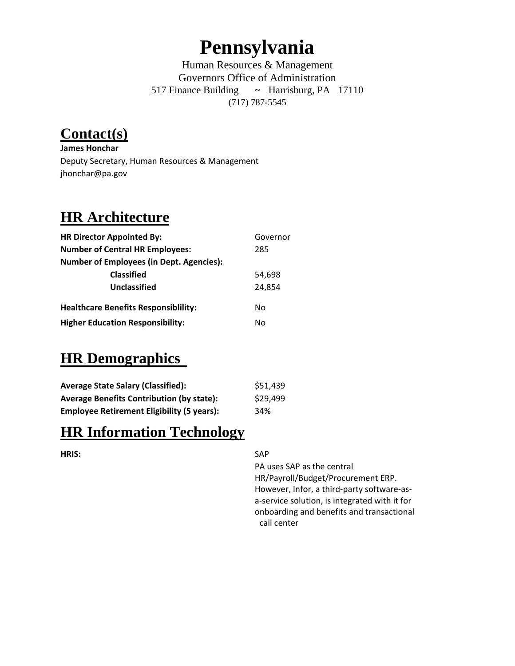## **Pennsylvania**

Human Resources & Management Governors Office of Administration 517 Finance Building ~ Harrisburg, PA 17110 (717) 787-5545

### **Contact(s)**

**James Honchar** Deputy Secretary, Human Resources & Management jhonchar@pa.gov

#### **HR Architecture**

| <b>HR Director Appointed By:</b>                | Governor |
|-------------------------------------------------|----------|
| <b>Number of Central HR Employees:</b>          | 285      |
| <b>Number of Employees (in Dept. Agencies):</b> |          |
| <b>Classified</b>                               | 54,698   |
| Unclassified                                    | 24.854   |
| <b>Healthcare Benefits Responsibility:</b>      | No       |
| <b>Higher Education Responsibility:</b>         | No       |

#### **HR Demographics**

| <b>Average State Salary (Classified):</b>         | \$51,439 |
|---------------------------------------------------|----------|
| <b>Average Benefits Contribution (by state):</b>  | \$29,499 |
| <b>Employee Retirement Eligibility (5 years):</b> | 34%      |

#### **HR Information Technology**

#### **HRIS:** SAP

PA uses SAP as the central HR/Payroll/Budget/Procurement ERP. However, Infor, a third‐party software‐as‐ a‐service solution, is integrated with it for onboarding and benefits and transactional call center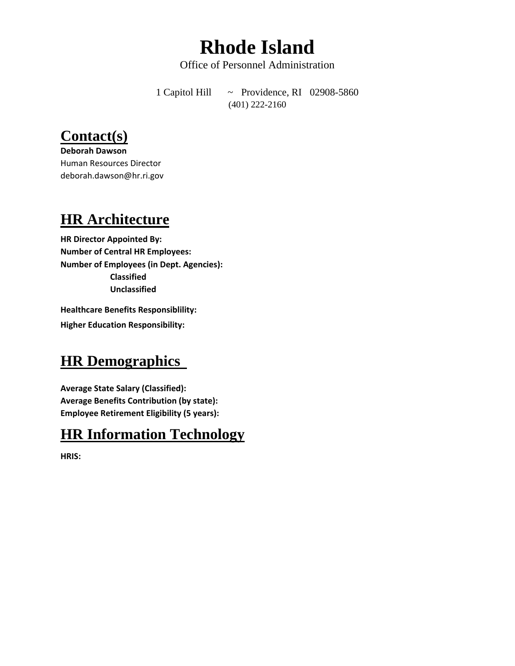## **Rhode Island**

Office of Personnel Administration

1 Capitol Hill ~ Providence, RI 02908-5860 (401) 222-2160

#### **Contact(s)**

**Deborah Dawson** Human Resources Director deborah.dawson@hr.ri.gov

#### **HR Architecture**

**HR Director Appointed By: Number of Central HR Employees: Number of Employees (in Dept. Agencies): Classified Unclassified**

**Healthcare Benefits Responsiblility: Higher Education Responsibility:**

#### **HR Demographics**

**Average State Salary (Classified): Average Benefits Contribution (by state): Employee Retirement Eligibility (5 years):**

#### **HR Information Technology**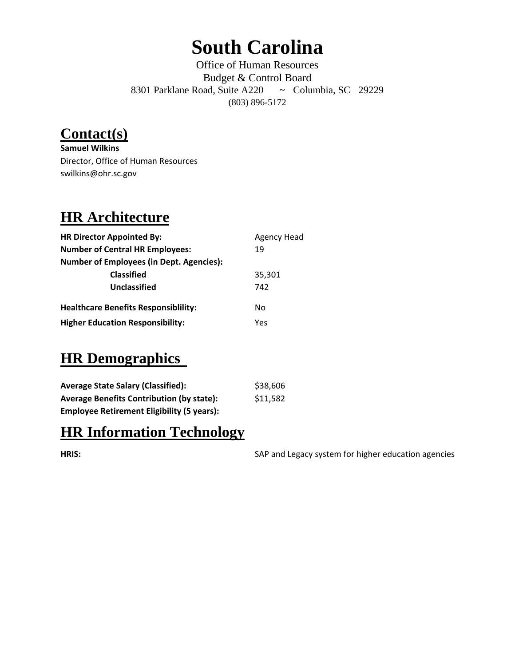# **South Carolina**

Office of Human Resources Budget & Control Board 8301 Parklane Road, Suite A220 ~ Columbia, SC 29229 (803) 896-5172

## **Contact(s)**

**Samuel Wilkins** Director, Office of Human Resources swilkins@ohr.sc.gov

### **HR Architecture**

| <b>HR Director Appointed By:</b>                | <b>Agency Head</b> |
|-------------------------------------------------|--------------------|
| <b>Number of Central HR Employees:</b>          | 19                 |
| <b>Number of Employees (in Dept. Agencies):</b> |                    |
| <b>Classified</b>                               | 35,301             |
| Unclassified                                    | 742                |
| <b>Healthcare Benefits Responsibility:</b>      | No                 |
| <b>Higher Education Responsibility:</b>         | Yes                |

#### **HR Demographics**

| <b>Average State Salary (Classified):</b>         | \$38,606 |
|---------------------------------------------------|----------|
| <b>Average Benefits Contribution (by state):</b>  | \$11,582 |
| <b>Employee Retirement Eligibility (5 years):</b> |          |

#### **HR Information Technology**

**HRIS:** SAP and Legacy system for higher education agencies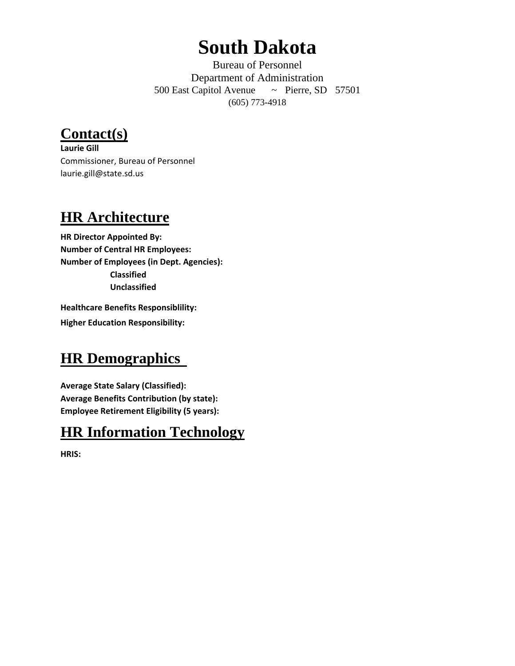## **South Dakota**

Bureau of Personnel Department of Administration 500 East Capitol Avenue ~ Pierre, SD 57501 (605) 773-4918

**Contact(s)**

**Laurie Gill** Commissioner, Bureau of Personnel laurie.gill@state.sd.us

#### **HR Architecture**

**HR Director Appointed By: Number of Central HR Employees: Number of Employees (in Dept. Agencies): Classified Unclassified**

**Healthcare Benefits Responsiblility: Higher Education Responsibility:**

#### **HR Demographics**

**Average State Salary (Classified): Average Benefits Contribution (by state): Employee Retirement Eligibility (5 years):**

#### **HR Information Technology**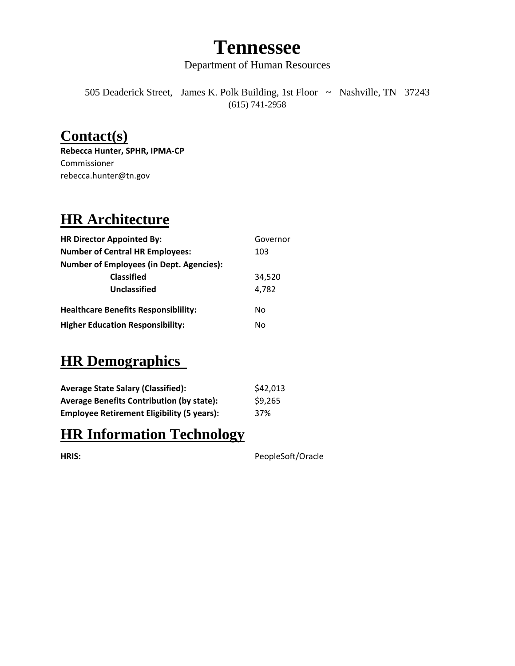## **Tennessee**

Department of Human Resources

505 Deaderick Street, James K. Polk Building, 1st Floor ~ Nashville, TN 37243 (615) 741-2958

#### **Contact(s)**

**Rebecca Hunter, SPHR, IPMA‐CP** Commissioner rebecca.hunter@tn.gov

#### **HR Architecture**

| <b>HR Director Appointed By:</b>                | Governor |
|-------------------------------------------------|----------|
| <b>Number of Central HR Employees:</b>          | 103      |
| <b>Number of Employees (in Dept. Agencies):</b> |          |
| <b>Classified</b>                               | 34,520   |
| Unclassified                                    | 4.782    |
| <b>Healthcare Benefits Responsibility:</b>      | No       |
| <b>Higher Education Responsibility:</b>         | N٥       |

#### **HR Demographics**

| <b>Average State Salary (Classified):</b>         | \$42,013 |
|---------------------------------------------------|----------|
| <b>Average Benefits Contribution (by state):</b>  | \$9,265  |
| <b>Employee Retirement Eligibility (5 years):</b> | 37%      |

#### **HR Information Technology**

**HRIS:** PeopleSoft/Oracle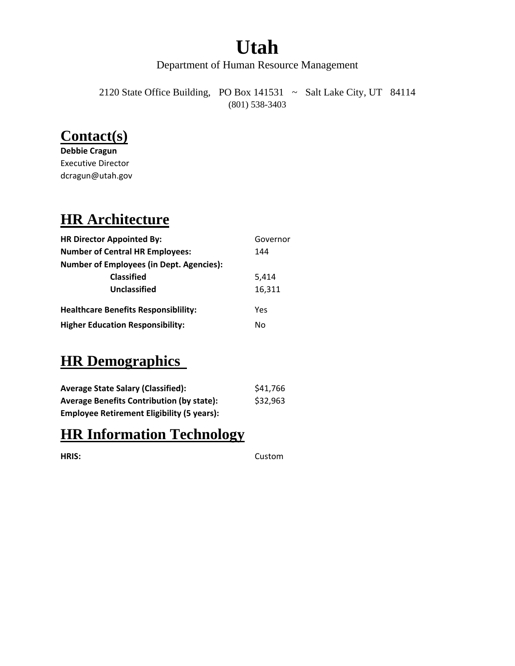# **Utah**

Department of Human Resource Management

2120 State Office Building, PO Box 141531 ~ Salt Lake City, UT 84114 (801) 538-3403

#### **Contact(s)**

**Debbie Cragun** Executive Director dcragun@utah.gov

#### **HR Architecture**

| <b>HR Director Appointed By:</b>                | Governor |
|-------------------------------------------------|----------|
| <b>Number of Central HR Employees:</b>          | 144      |
| <b>Number of Employees (in Dept. Agencies):</b> |          |
| <b>Classified</b>                               | 5,414    |
| Unclassified                                    | 16,311   |
| <b>Healthcare Benefits Responsibility:</b>      | Yes      |
| <b>Higher Education Responsibility:</b>         | N٥       |

### **HR Demographics**

| <b>Average State Salary (Classified):</b>         | \$41,766 |
|---------------------------------------------------|----------|
| <b>Average Benefits Contribution (by state):</b>  | \$32,963 |
| <b>Employee Retirement Eligibility (5 years):</b> |          |

#### **HR Information Technology**

**HRIS:** Custom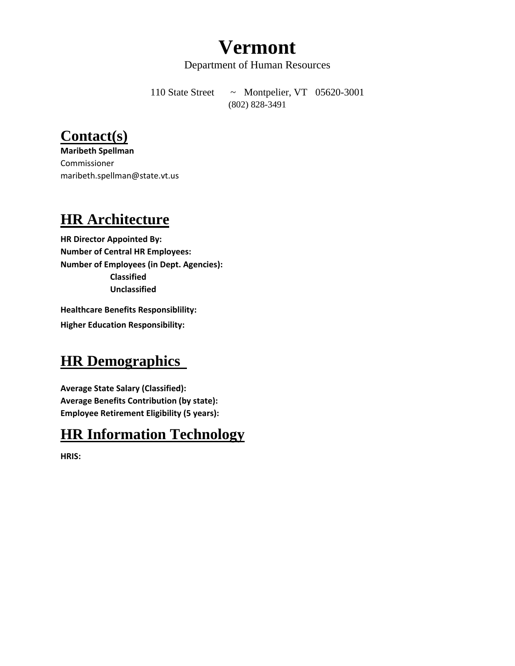## **Vermont**

Department of Human Resources

110 State Street ~ Montpelier, VT 05620-3001 (802) 828-3491

#### **Contact(s)**

**Maribeth Spellman** Commissioner maribeth.spellman@state.vt.us

#### **HR Architecture**

**HR Director Appointed By: Number of Central HR Employees: Number of Employees (in Dept. Agencies): Classified Unclassified**

**Healthcare Benefits Responsiblility: Higher Education Responsibility:**

#### **HR Demographics**

**Average State Salary (Classified): Average Benefits Contribution (by state): Employee Retirement Eligibility (5 years):**

#### **HR Information Technology**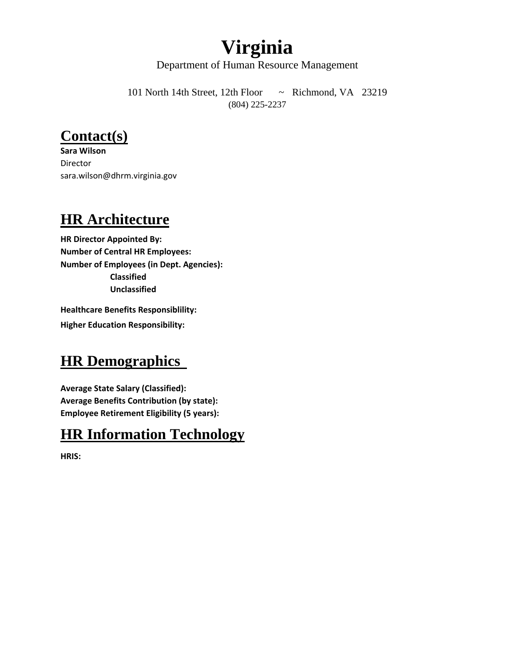## **Virginia**

Department of Human Resource Management

101 North 14th Street, 12th Floor ~ Richmond, VA 23219 (804) 225-2237

#### **Contact(s)**

**Sara Wilson** Director sara.wilson@dhrm.virginia.gov

#### **HR Architecture**

**HR Director Appointed By: Number of Central HR Employees: Number of Employees (in Dept. Agencies): Classified Unclassified**

**Healthcare Benefits Responsiblility: Higher Education Responsibility:**

#### **HR Demographics**

**Average State Salary (Classified): Average Benefits Contribution (by state): Employee Retirement Eligibility (5 years):**

#### **HR Information Technology**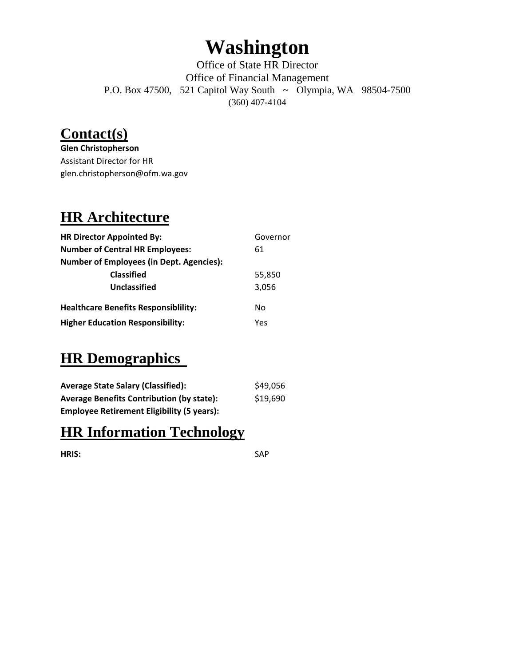## **Washington**

Office of State HR Director Office of Financial Management P.O. Box 47500, 521 Capitol Way South ~ Olympia, WA 98504-7500 (360) 407-4104

#### **Contact(s)**

**Glen Christopherson** Assistant Director for HR glen.christopherson@ofm.wa.gov

#### **HR Architecture**

| <b>HR Director Appointed By:</b>                | Governor |
|-------------------------------------------------|----------|
| <b>Number of Central HR Employees:</b>          | 61       |
| <b>Number of Employees (in Dept. Agencies):</b> |          |
| <b>Classified</b>                               | 55,850   |
| Unclassified                                    | 3,056    |
| <b>Healthcare Benefits Responsibility:</b>      | N٥       |
| <b>Higher Education Responsibility:</b>         | Yes      |

#### **HR Demographics**

| <b>Average State Salary (Classified):</b>         | \$49,056 |
|---------------------------------------------------|----------|
| <b>Average Benefits Contribution (by state):</b>  | \$19,690 |
| <b>Employee Retirement Eligibility (5 years):</b> |          |

#### **HR Information Technology**

**HRIS:** SAP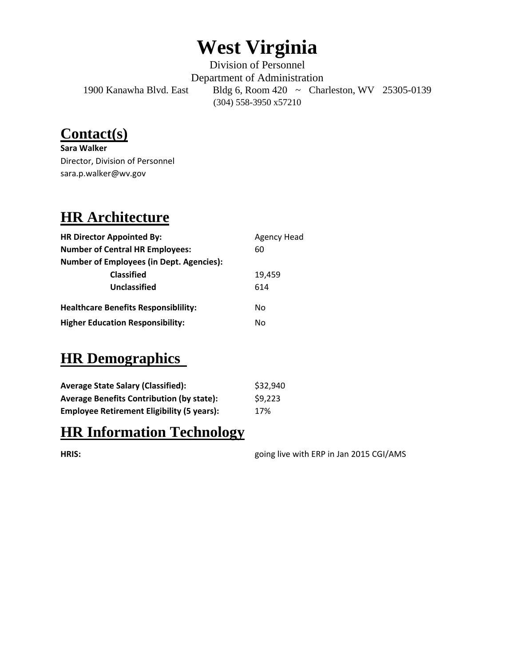# **West Virginia**

Division of Personnel Department of Administration 1900 Kanawha Blvd. East Bldg 6, Room 420 ~ Charleston, WV 25305-0139 (304) 558-3950 x57210

### **Contact(s)**

**Sara Walker** Director, Division of Personnel sara.p.walker@wv.gov

## **HR Architecture**

| <b>HR Director Appointed By:</b>                | <b>Agency Head</b> |
|-------------------------------------------------|--------------------|
| <b>Number of Central HR Employees:</b>          | 60                 |
| <b>Number of Employees (in Dept. Agencies):</b> |                    |
| <b>Classified</b>                               | 19,459             |
| Unclassified                                    | 614                |
| <b>Healthcare Benefits Responsibility:</b>      | No                 |
| <b>Higher Education Responsibility:</b>         | No                 |

### **HR Demographics**

| <b>Average State Salary (Classified):</b>         | \$32,940 |
|---------------------------------------------------|----------|
| <b>Average Benefits Contribution (by state):</b>  | \$9,223  |
| <b>Employee Retirement Eligibility (5 years):</b> | 17%      |

#### **HR Information Technology**

**HRIS:** going live with ERP in Jan 2015 CGI/AMS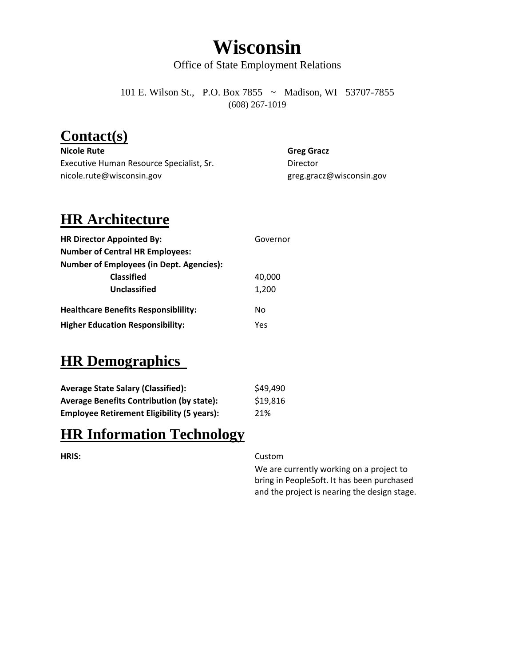## **Wisconsin**

Office of State Employment Relations

101 E. Wilson St., P.O. Box 7855 ~ Madison, WI 53707-7855 (608) 267-1019

#### **Contact(s)**

**Nicole Rute Greg Gracz** Executive Human Resource Specialist, Sr. **Executive Human Resource Specialist**, Sr. nicole.rute@wisconsin.gov and a settle state of the greg.gracz@wisconsin.gov

#### **HR Architecture**

| <b>HR Director Appointed By:</b>                | Governor |
|-------------------------------------------------|----------|
| <b>Number of Central HR Employees:</b>          |          |
| <b>Number of Employees (in Dept. Agencies):</b> |          |
| <b>Classified</b>                               | 40,000   |
| <b>Unclassified</b>                             | 1,200    |
| <b>Healthcare Benefits Responsibility:</b>      | No       |
| <b>Higher Education Responsibility:</b>         | Yes      |

#### **HR Demographics**

| <b>Average State Salary (Classified):</b>         | \$49,490 |
|---------------------------------------------------|----------|
| <b>Average Benefits Contribution (by state):</b>  | \$19,816 |
| <b>Employee Retirement Eligibility (5 years):</b> | 21%      |

#### **HR Information Technology**

#### **HRIS:** Custom

We are currently working on a project to bring in PeopleSoft. It has been purchased and the project is nearing the design stage.